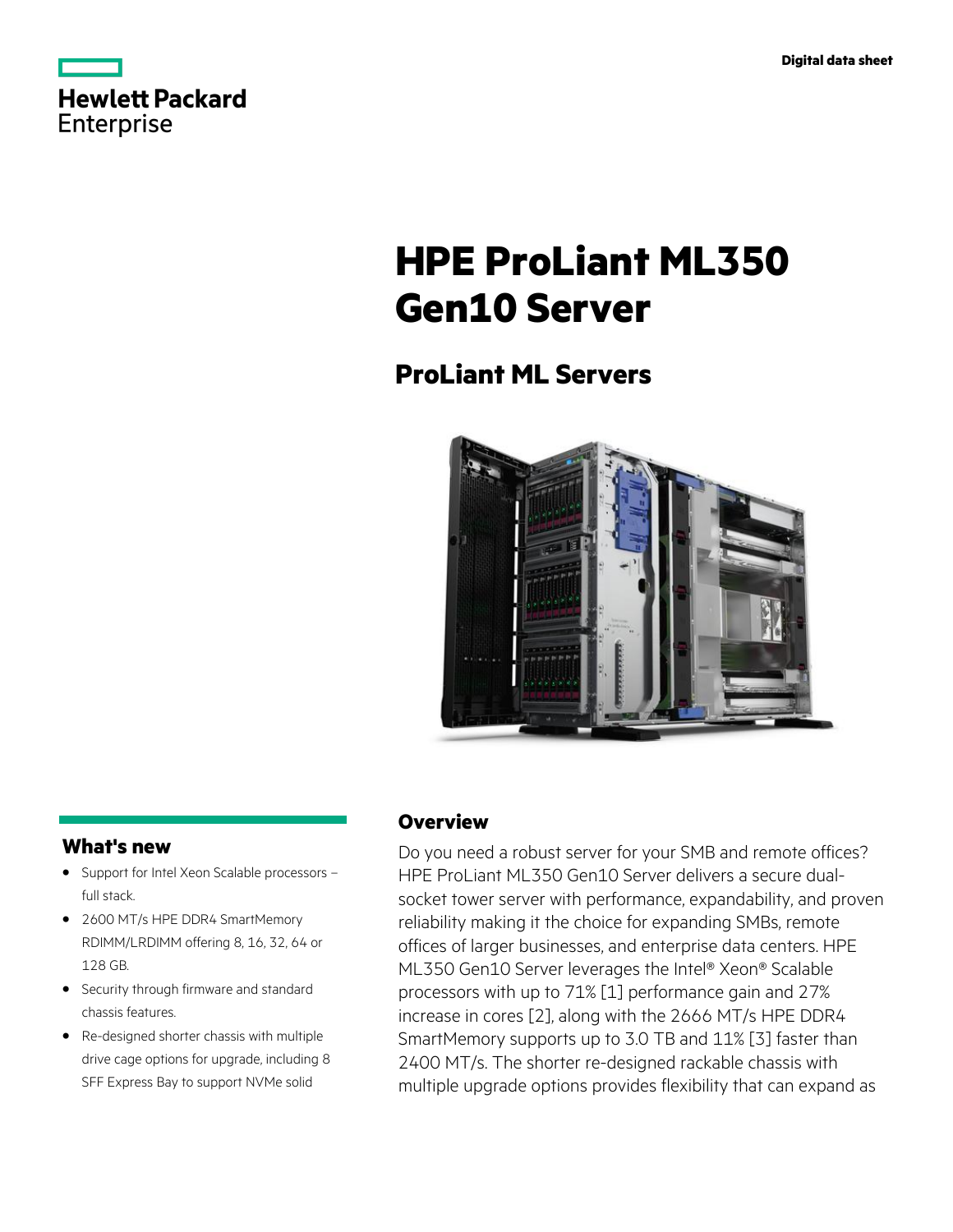|            | Hewlett Packard |
|------------|-----------------|
| Enterprise |                 |

# **HPE ProLiant ML350 Gen10 Server**

# **ProLiant ML Servers**



# **What's new**

- Support for Intel Xeon Scalable processors **·** full stack.
- 2600 MT/s HPE DDR4 SmartMemory **·** RDIMM/LRDIMM offering 8, 16, 32, 64 or 128 GB.
- Security through firmware and standard **·** chassis features.
- Re-designed shorter chassis with multiple **·** drive cage options for upgrade, including 8 SFF Express Bay to support NVMe solid

# **Overview**

Do you need a robust server for your SMB and remote offices? HPE ProLiant ML350 Gen10 Server delivers a secure dualsocket tower server with performance, expandability, and proven reliability making it the choice for expanding SMBs, remote offices of larger businesses, and enterprise data centers. HPE ML350 Gen10 Server leverages the Intel® Xeon® Scalable processors with up to 71% [1] performance gain and 27% increase in cores [2], along with the 2666 MT/s HPE DDR4 SmartMemory supports up to 3.0 TB and 11% [3] faster than 2400 MT/s. The shorter re-designed rackable chassis with multiple upgrade options provides flexibility that can expand as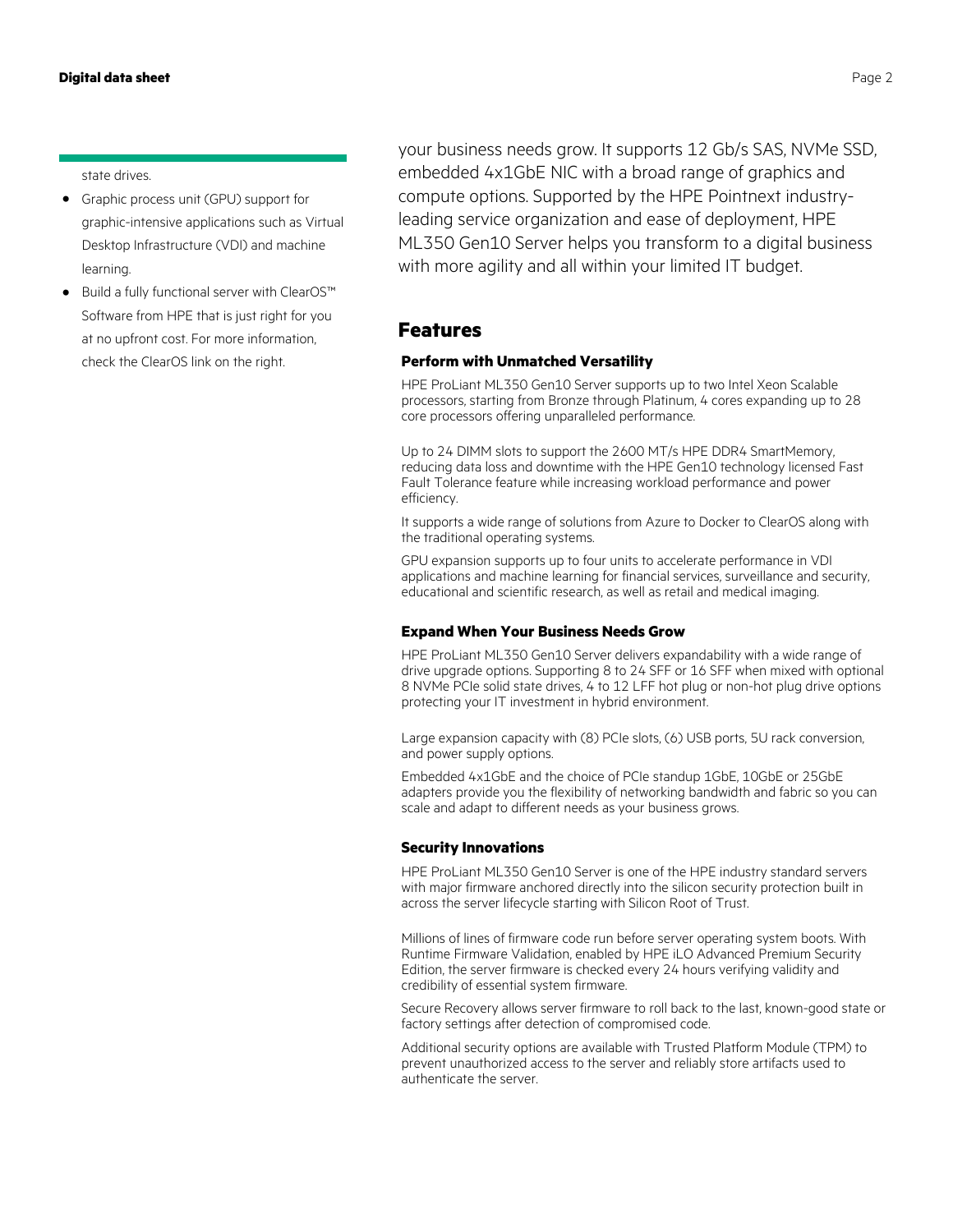state drives.

- Graphic process unit (GPU) support for graphic-intensive applications such as Virtual Desktop Infrastructure (VDI) and machine learning. **·**
- Build a fully functional server with ClearOS™ **·** Software from HPE that is just right for you at no upfront cost. For more information, check the ClearOS link on the right.

your business needs grow. It supports 12 Gb/s SAS, NVMe SSD, embedded 4x1GbE NIC with a broad range of graphics and compute options. Supported by the HPE Pointnext industryleading service organization and ease of deployment, HPE ML350 Gen10 Server helps you transform to a digital business with more agility and all within your limited IT budget.

# **Features**

#### **Perform with Unmatched Versatility**

HPE ProLiant ML350 Gen10 Server supports up to two Intel Xeon Scalable processors, starting from Bronze through Platinum, 4 cores expanding up to 28 core processors offering unparalleled performance.

Up to 24 DIMM slots to support the 2600 MT/s HPE DDR4 SmartMemory, reducing data loss and downtime with the HPE Gen10 technology licensed Fast Fault Tolerance feature while increasing workload performance and power efficiency.

It supports a wide range of solutions from Azure to Docker to ClearOS along with the traditional operating systems.

GPU expansion supports up to four units to accelerate performance in VDI applications and machine learning for financial services, surveillance and security, educational and scientific research, as well as retail and medical imaging.

#### **Expand When Your Business Needs Grow**

HPE ProLiant ML350 Gen10 Server delivers expandability with a wide range of drive upgrade options. Supporting 8 to 24 SFF or 16 SFF when mixed with optional 8 NVMe PCIe solid state drives, 4 to 12 LFF hot plug or non-hot plug drive options protecting your IT investment in hybrid environment.

Large expansion capacity with (8) PCIe slots, (6) USB ports, 5U rack conversion, and power supply options.

Embedded 4x1GbE and the choice of PCIe standup 1GbE, 10GbE or 25GbE adapters provide you the flexibility of networking bandwidth and fabric so you can scale and adapt to different needs as your business grows.

#### **Security Innovations**

HPE ProLiant ML350 Gen10 Server is one of the HPE industry standard servers with major firmware anchored directly into the silicon security protection built in across the server lifecycle starting with Silicon Root of Trust.

Millions of lines of firmware code run before server operating system boots. With Runtime Firmware Validation, enabled by HPE iLO Advanced Premium Security Edition, the server firmware is checked every 24 hours verifying validity and credibility of essential system firmware.

Secure Recovery allows server firmware to roll back to the last, known-good state or factory settings after detection of compromised code.

Additional security options are available with Trusted Platform Module (TPM) to prevent unauthorized access to the server and reliably store artifacts used to authenticate the server.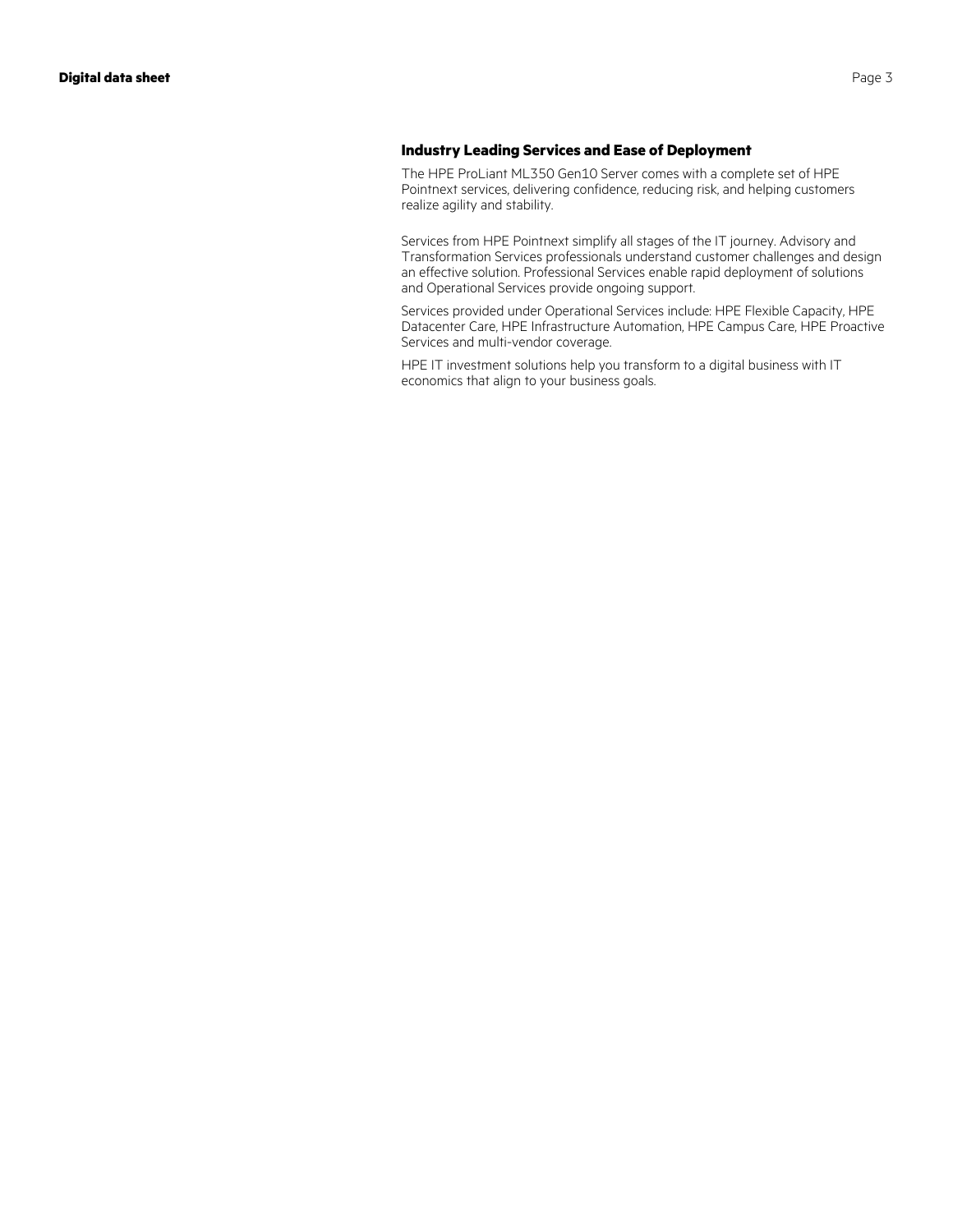### **Industry Leading Services and Ease of Deployment**

The HPE ProLiant ML350 Gen10 Server comes with a complete set of HPE Pointnext services, delivering confidence, reducing risk, and helping customers realize agility and stability.

Services from HPE Pointnext simplify all stages of the IT journey. Advisory and Transformation Services professionals understand customer challenges and design an effective solution. Professional Services enable rapid deployment of solutions and Operational Services provide ongoing support.

Services provided under Operational Services include: HPE Flexible Capacity, HPE Datacenter Care, HPE Infrastructure Automation, HPE Campus Care, HPE Proactive Services and multi-vendor coverage.

HPE IT investment solutions help you transform to a digital business with IT economics that align to your business goals.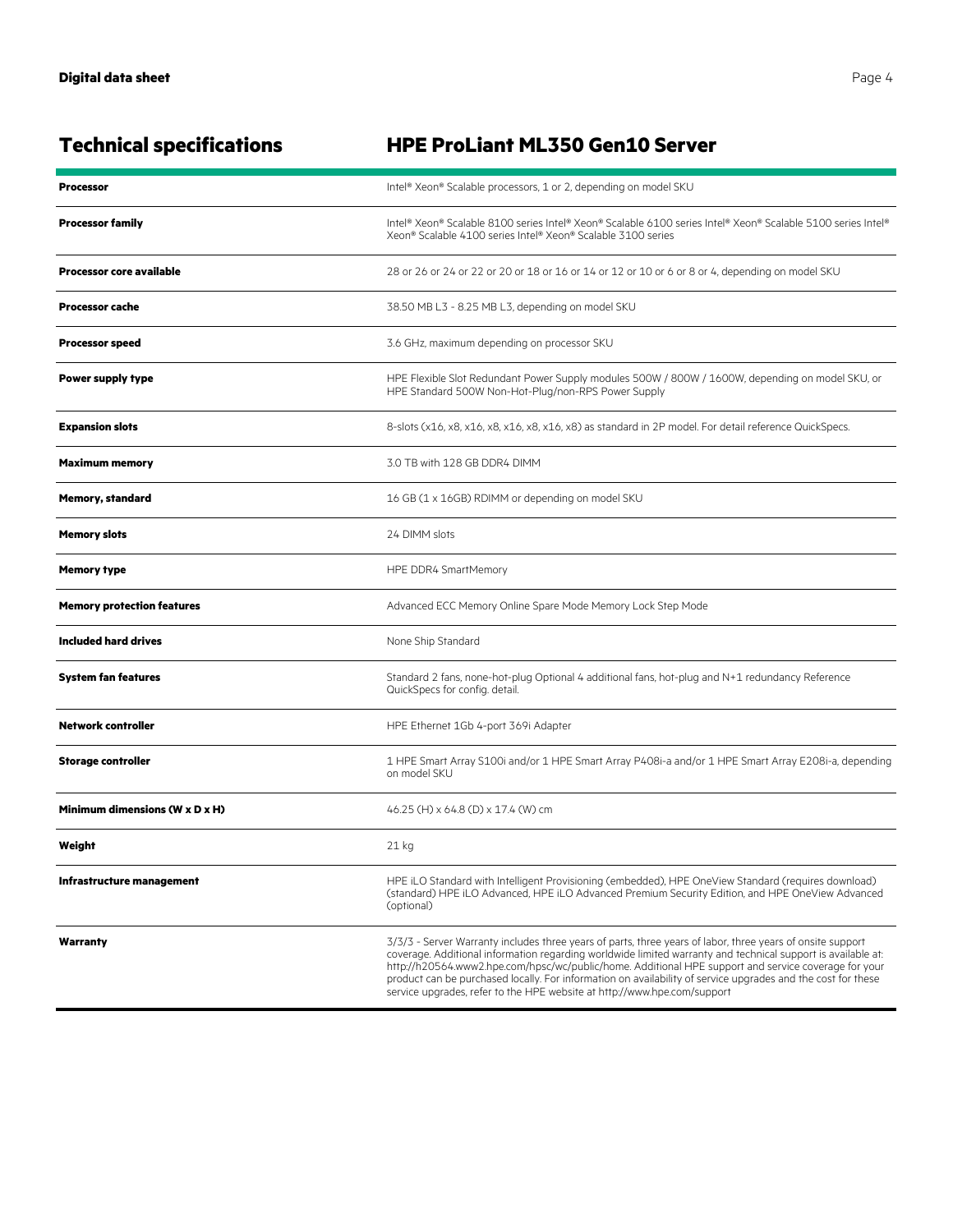| <b>Technical specifications</b>   | <b>HPE ProLiant ML350 Gen10 Server</b>                                                                                                                                                                                                                                                                                                                                                                                                                                                                                         |
|-----------------------------------|--------------------------------------------------------------------------------------------------------------------------------------------------------------------------------------------------------------------------------------------------------------------------------------------------------------------------------------------------------------------------------------------------------------------------------------------------------------------------------------------------------------------------------|
| <b>Processor</b>                  | Intel® Xeon® Scalable processors, 1 or 2, depending on model SKU                                                                                                                                                                                                                                                                                                                                                                                                                                                               |
| <b>Processor family</b>           | Intel® Xeon® Scalable 8100 series Intel® Xeon® Scalable 6100 series Intel® Xeon® Scalable 5100 series Intel®<br>Xeon® Scalable 4100 series Intel® Xeon® Scalable 3100 series                                                                                                                                                                                                                                                                                                                                                   |
| <b>Processor core available</b>   | 28 or 26 or 24 or 22 or 20 or 18 or 16 or 14 or 12 or 10 or 6 or 8 or 4, depending on model SKU                                                                                                                                                                                                                                                                                                                                                                                                                                |
| <b>Processor cache</b>            | 38.50 MB L3 - 8.25 MB L3, depending on model SKU                                                                                                                                                                                                                                                                                                                                                                                                                                                                               |
| <b>Processor speed</b>            | 3.6 GHz, maximum depending on processor SKU                                                                                                                                                                                                                                                                                                                                                                                                                                                                                    |
| Power supply type                 | HPE Flexible Slot Redundant Power Supply modules 500W / 800W / 1600W, depending on model SKU, or<br>HPE Standard 500W Non-Hot-Plug/non-RPS Power Supply                                                                                                                                                                                                                                                                                                                                                                        |
| <b>Expansion slots</b>            | 8-slots (x16, x8, x16, x8, x16, x8, x16, x8) as standard in 2P model. For detail reference QuickSpecs.                                                                                                                                                                                                                                                                                                                                                                                                                         |
| <b>Maximum memory</b>             | 3.0 TB with 128 GB DDR4 DIMM                                                                                                                                                                                                                                                                                                                                                                                                                                                                                                   |
| <b>Memory, standard</b>           | 16 GB (1 x 16GB) RDIMM or depending on model SKU                                                                                                                                                                                                                                                                                                                                                                                                                                                                               |
| <b>Memory slots</b>               | 24 DIMM slots                                                                                                                                                                                                                                                                                                                                                                                                                                                                                                                  |
| <b>Memory type</b>                | HPE DDR4 SmartMemory                                                                                                                                                                                                                                                                                                                                                                                                                                                                                                           |
| <b>Memory protection features</b> | Advanced ECC Memory Online Spare Mode Memory Lock Step Mode                                                                                                                                                                                                                                                                                                                                                                                                                                                                    |
| <b>Included hard drives</b>       | None Ship Standard                                                                                                                                                                                                                                                                                                                                                                                                                                                                                                             |
| System fan features               | Standard 2 fans, none-hot-plug Optional 4 additional fans, hot-plug and N+1 redundancy Reference<br>QuickSpecs for config. detail.                                                                                                                                                                                                                                                                                                                                                                                             |
| <b>Network controller</b>         | HPE Ethernet 1Gb 4-port 369i Adapter                                                                                                                                                                                                                                                                                                                                                                                                                                                                                           |
| <b>Storage controller</b>         | 1 HPE Smart Array S100i and/or 1 HPE Smart Array P408i-a and/or 1 HPE Smart Array E208i-a, depending<br>on model SKU                                                                                                                                                                                                                                                                                                                                                                                                           |
| Minimum dimensions (W x D x H)    | 46.25 (H) x 64.8 (D) x 17.4 (W) cm                                                                                                                                                                                                                                                                                                                                                                                                                                                                                             |
| Weight                            | 21 kg                                                                                                                                                                                                                                                                                                                                                                                                                                                                                                                          |
| Infrastructure management         | HPE iLO Standard with Intelligent Provisioning (embedded), HPE OneView Standard (requires download)<br>(standard) HPE iLO Advanced, HPE iLO Advanced Premium Security Edition, and HPE OneView Advanced<br>(optional)                                                                                                                                                                                                                                                                                                          |
| Warranty                          | 3/3/3 - Server Warranty includes three years of parts, three years of labor, three years of onsite support<br>coverage. Additional information regarding worldwide limited warranty and technical support is available at:<br>http://h20564.www2.hpe.com/hpsc/wc/public/home. Additional HPE support and service coverage for your<br>product can be purchased locally. For information on availability of service upgrades and the cost for these<br>service upgrades, refer to the HPE website at http://www.hpe.com/support |